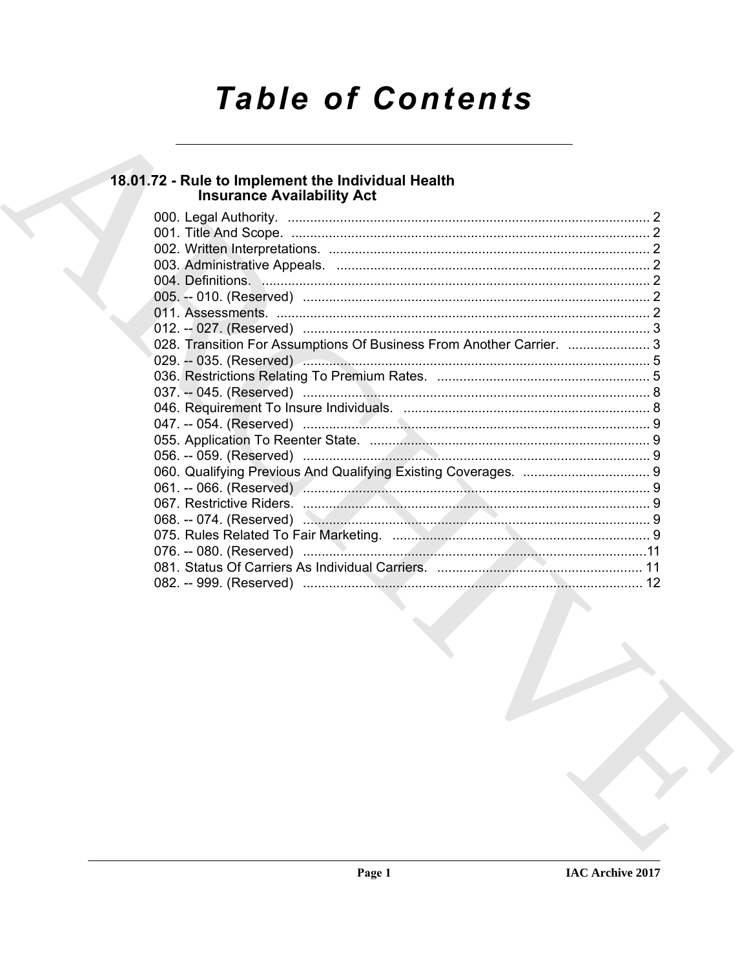# **Table of Contents**

# 18.01.72 - Rule to Implement the Individual Health<br>Insurance Availability Act

|  | 004. Definitions. Manual Manual Communication of the contract of the contract of the contract of the contract o |  |
|--|-----------------------------------------------------------------------------------------------------------------|--|
|  |                                                                                                                 |  |
|  |                                                                                                                 |  |
|  |                                                                                                                 |  |
|  | 028. Transition For Assumptions Of Business From Another Carrier.  3                                            |  |
|  |                                                                                                                 |  |
|  |                                                                                                                 |  |
|  |                                                                                                                 |  |
|  |                                                                                                                 |  |
|  |                                                                                                                 |  |
|  |                                                                                                                 |  |
|  |                                                                                                                 |  |
|  |                                                                                                                 |  |
|  |                                                                                                                 |  |
|  |                                                                                                                 |  |
|  |                                                                                                                 |  |
|  |                                                                                                                 |  |
|  |                                                                                                                 |  |
|  |                                                                                                                 |  |
|  |                                                                                                                 |  |
|  |                                                                                                                 |  |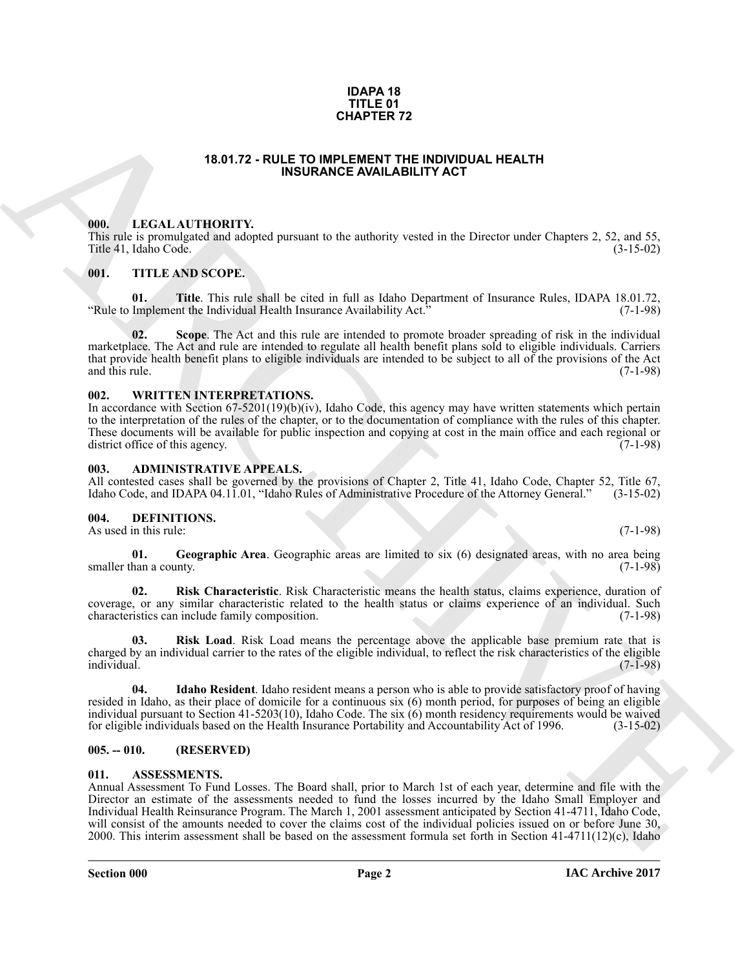#### **IDAPA 18 TITLE 01 CHAPTER 72**

#### **18.01.72 - RULE TO IMPLEMENT THE INDIVIDUAL HEALTH INSURANCE AVAILABILITY ACT**

#### <span id="page-1-1"></span><span id="page-1-0"></span>**000. LEGAL AUTHORITY.**

This rule is promulgated and adopted pursuant to the authority vested in the Director under Chapters 2, 52, and 55, Title 41, Idaho Code.

#### <span id="page-1-2"></span>**001. TITLE AND SCOPE.**

**01. Title**. This rule shall be cited in full as Idaho Department of Insurance Rules, IDAPA 18.01.72, Implement the Individual Health Insurance Availability Act." (7-1-98) "Rule to Implement the Individual Health Insurance Availability Act."

**02. Scope**. The Act and this rule are intended to promote broader spreading of risk in the individual marketplace. The Act and rule are intended to regulate all health benefit plans sold to eligible individuals. Carriers that provide health benefit plans to eligible individuals are intended to be subject to all of the provisions of the Act and this rule. (7-1-98)

#### <span id="page-1-3"></span>**002. WRITTEN INTERPRETATIONS.**

In accordance with Section 67-5201(19)(b)(iv), Idaho Code, this agency may have written statements which pertain to the interpretation of the rules of the chapter, or to the documentation of compliance with the rules of this chapter. These documents will be available for public inspection and copying at cost in the main office and each regional or district office of this agency. (7-1-98)

#### <span id="page-1-4"></span>**003. ADMINISTRATIVE APPEALS.**

All contested cases shall be governed by the provisions of Chapter 2, Title 41, Idaho Code, Chapter 52, Title 67, Idaho Code, and IDAPA 04.11.01. "Idaho Rules of Administrative Procedure of the Attorney General." (3-15-02) Idaho Code, and IDAPA 04.11.01, "Idaho Rules of Administrative Procedure of the Attorney General."

#### <span id="page-1-9"></span><span id="page-1-5"></span>**004. DEFINITIONS.**

As used in this rule: (7-1-98)

<span id="page-1-10"></span>**01.** Geographic Area. Geographic areas are limited to six (6) designated areas, with no area being han a county. smaller than a county.

<span id="page-1-12"></span>**02. Risk Characteristic**. Risk Characteristic means the health status, claims experience, duration of coverage, or any similar characteristic related to the health status or claims experience of an individual. Such characteristics can include family composition. (7-1-98)

<span id="page-1-13"></span>**03. Risk Load**. Risk Load means the percentage above the applicable base premium rate that is charged by an individual carrier to the rates of the eligible individual, to reflect the risk characteristics of the eligible individual. (7-1-98)

<span id="page-1-11"></span>**04. Idaho Resident**. Idaho resident means a person who is able to provide satisfactory proof of having resided in Idaho, as their place of domicile for a continuous six (6) month period, for purposes of being an eligible individual pursuant to Section 41-5203(10), Idaho Code. The six (6) month residency requirements would be waived for eligible individuals based on the Health Insurance Portability and Accountability Act of 1996. (3-15-02)

#### <span id="page-1-6"></span>**005. -- 010. (RESERVED)**

#### <span id="page-1-8"></span><span id="page-1-7"></span>**011. ASSESSMENTS.**

**CHAPTER 72**<br> **CHAPTER THE LIGHD INTEREST AND LEADER THE INFORMATION INTERFERIENCE AND ARCHIVES THE CHAPTER INTERFERIENCE AND INTERFERIENCE INTERFERIENCE (SIGN) 3, 25, and 55, 116 (4), 1460 Code.<br>
THE 6 H, 1 date Code.<br>
T** Annual Assessment To Fund Losses. The Board shall, prior to March 1st of each year, determine and file with the Director an estimate of the assessments needed to fund the losses incurred by the Idaho Small Employer and Individual Health Reinsurance Program. The March 1, 2001 assessment anticipated by Section 41-4711, Idaho Code, will consist of the amounts needed to cover the claims cost of the individual policies issued on or before June 30, 2000. This interim assessment shall be based on the assessment formula set forth in Section 41-4711(12)(c), Idaho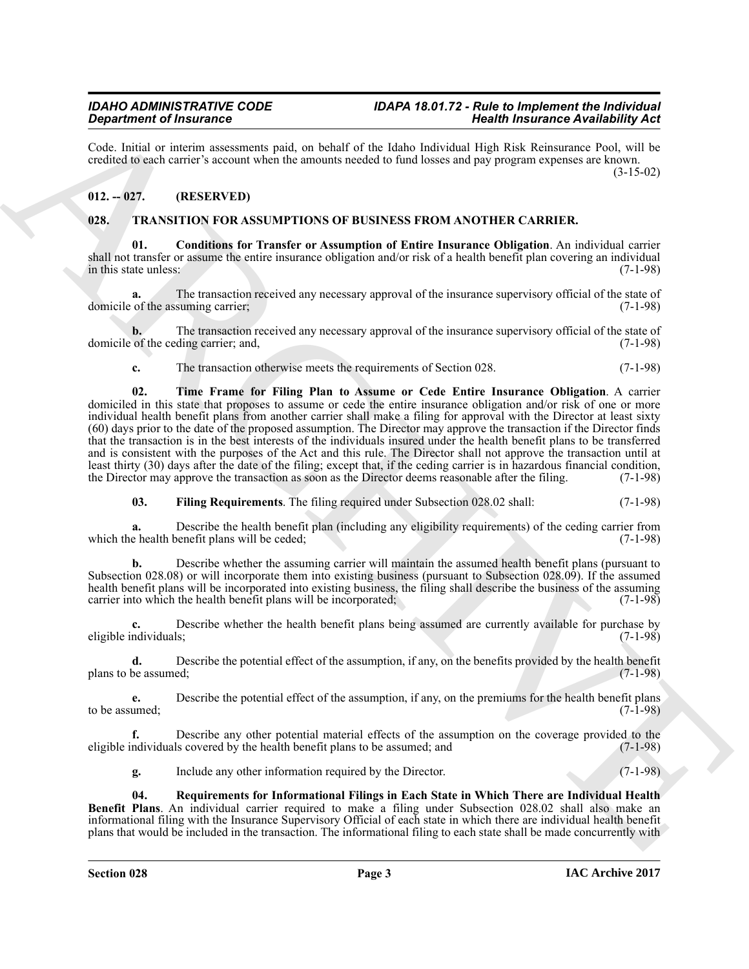Code. Initial or interim assessments paid, on behalf of the Idaho Individual High Risk Reinsurance Pool, will be credited to each carrier's account when the amounts needed to fund losses and pay program expenses are known. (3-15-02)

### <span id="page-2-0"></span>**012. -- 027. (RESERVED)**

#### <span id="page-2-2"></span><span id="page-2-1"></span>**028. TRANSITION FOR ASSUMPTIONS OF BUSINESS FROM ANOTHER CARRIER.**

<span id="page-2-3"></span>**01. Conditions for Transfer or Assumption of Entire Insurance Obligation**. An individual carrier shall not transfer or assume the entire insurance obligation and/or risk of a health benefit plan covering an individual in this state unless: (7-1-98)

**a.** The transaction received any necessary approval of the insurance supervisory official of the state of of the assuming carrier: (7-1-98) domicile of the assuming carrier;

**b.** The transaction received any necessary approval of the insurance supervisory official of the state of of the ceding carrier; and,  $(7-1-98)$ domicile of the ceding carrier; and,

<span id="page-2-6"></span>**c.** The transaction otherwise meets the requirements of Section 028. (7-1-98)

Gradiente of francesco control and the based of the based of the based of the control and the state of the state of the state of the state of the state of the state of the state of the state of the state of the state of t **02. Time Frame for Filing Plan to Assume or Cede Entire Insurance Obligation**. A carrier domiciled in this state that proposes to assume or cede the entire insurance obligation and/or risk of one or more individual health benefit plans from another carrier shall make a filing for approval with the Director at least sixty (60) days prior to the date of the proposed assumption. The Director may approve the transaction if the Director finds that the transaction is in the best interests of the individuals insured under the health benefit plans to be transferred and is consistent with the purposes of the Act and this rule. The Director shall not approve the transaction until at least thirty (30) days after the date of the filing; except that, if the ceding carrier is in hazardous financial condition, the Director may approve the transaction as soon as the Director deems reasonable after the filin the Director may approve the transaction as soon as the Director deems reasonable after the filing.

<span id="page-2-4"></span>**03. Filing Requirements**. The filing required under Subsection 028.02 shall: (7-1-98)

**a.** Describe the health benefit plan (including any eligibility requirements) of the ceding carrier from e health benefit plans will be ceded; (7-1-98) which the health benefit plans will be ceded;

**b.** Describe whether the assuming carrier will maintain the assumed health benefit plans (pursuant to Subsection 028.08) or will incorporate them into existing business (pursuant to Subsection 028.09). If the assumed health benefit plans will be incorporated into existing business, the filing shall describe the business of the assuming carrier into which the health benefit plans will be incorporated; (7-1-98) carrier into which the health benefit plans will be incorporated;

Describe whether the health benefit plans being assumed are currently available for purchase by<br>(7-1-98) eligible individuals;

**d.** Describe the potential effect of the assumption, if any, on the benefits provided by the health benefit be assumed; (7-1-98) plans to be assumed;

**e.** Describe the potential effect of the assumption, if any, on the premiums for the health benefit plans umed: (7-1-98) to be assumed;

**f.** Describe any other potential material effects of the assumption on the coverage provided to the ndividuals covered by the health benefit plans to be assumed; and (7-1-98) eligible individuals covered by the health benefit plans to be assumed; and

<span id="page-2-5"></span>**g.** Include any other information required by the Director. (7-1-98)

**04. Requirements for Informational Filings in Each State in Which There are Individual Health Benefit Plans**. An individual carrier required to make a filing under Subsection 028.02 shall also make an informational filing with the Insurance Supervisory Official of each state in which there are individual health benefit plans that would be included in the transaction. The informational filing to each state shall be made concurrently with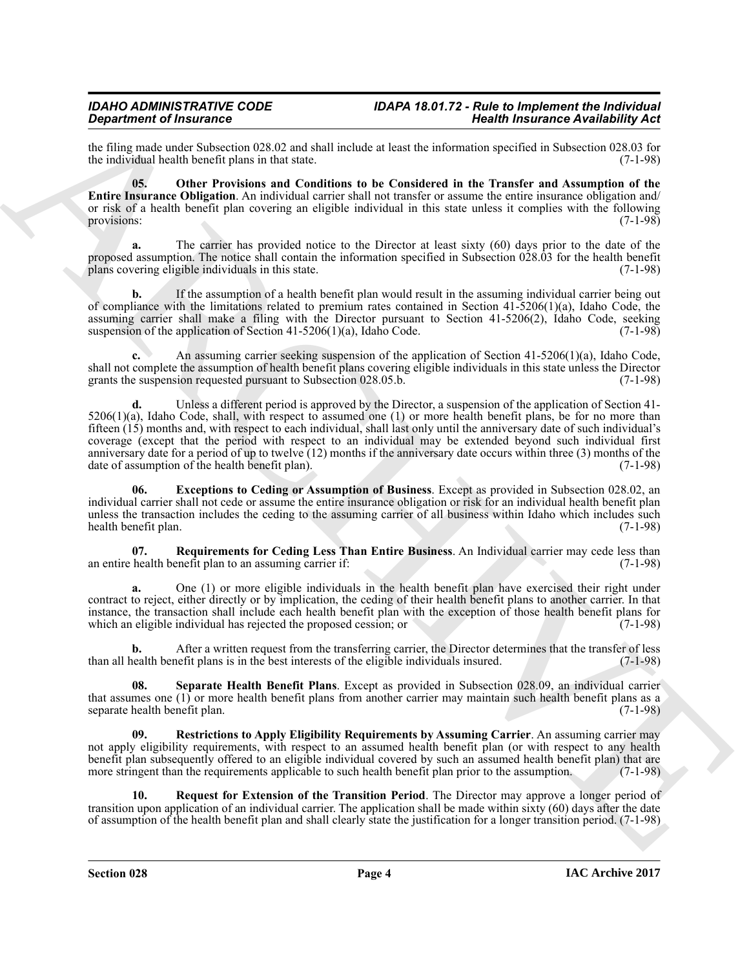the filing made under Subsection 028.02 and shall include at least the information specified in Subsection 028.03 for the individual health benefit plans in that state. (7-1-98) the individual health benefit plans in that state.

<span id="page-3-1"></span>**05. Other Provisions and Conditions to be Considered in the Transfer and Assumption of the Entire Insurance Obligation**. An individual carrier shall not transfer or assume the entire insurance obligation and/ or risk of a health benefit plan covering an eligible individual in this state unless it complies with the following provisions: (7-1-98)

**a.** The carrier has provided notice to the Director at least sixty (60) days prior to the date of the proposed assumption. The notice shall contain the information specified in Subsection 028.03 for the health benefit plans covering eligible individuals in this state. (7-1-98)

**b.** If the assumption of a health benefit plan would result in the assuming individual carrier being out of compliance with the limitations related to premium rates contained in Section 41-5206(1)(a), Idaho Code, the assuming carrier shall make a filing with the Director pursuant to Section  $41-5206(2)$ , Idaho Code, seeking suspension of the application of Section  $41-5206(1)(a)$ , Idaho Code. (7-1-98) suspension of the application of Section  $41-5206(1)(a)$ , Idaho Code.

**c.** An assuming carrier seeking suspension of the application of Section 41-5206(1)(a), Idaho Code, shall not complete the assumption of health benefit plans covering eligible individuals in this state unless the Director grants the suspension requested pursuant to Subsection 028.05.b. (7-1-98) grants the suspension requested pursuant to Subsection 028.05.b.

**Solution of Haustmass Constitution 14.5 and the effective of the effective of the effective of Haustmass Constitution 14.5 and the effective of the effective of the effective of the effective of the effective of the eff d.** Unless a different period is approved by the Director, a suspension of the application of Section 41-  $5206(1)(a)$ , Idaho Code, shall, with respect to assumed one (1) or more health benefit plans, be for no more than fifteen (15) months and, with respect to each individual, shall last only until the anniversary date of such individual's coverage (except that the period with respect to an individual may be extended beyond such individual first anniversary date for a period of up to twelve  $(12)$  months if the anniversary date occurs within three (3) months of the date of assumption of the health benefit plan). (7-1-98) date of assumption of the health benefit plan).

<span id="page-3-0"></span>**06. Exceptions to Ceding or Assumption of Business**. Except as provided in Subsection 028.02, an individual carrier shall not cede or assume the entire insurance obligation or risk for an individual health benefit plan unless the transaction includes the ceding to the assuming carrier of all business within Idaho which includes such health benefit plan. (7-1-98) health benefit plan.

<span id="page-3-3"></span>**07.** Requirements for Ceding Less Than Entire Business. An Individual carrier may cede less than health benefit plan to an assuming carrier if: (7-1-98) an entire health benefit plan to an assuming carrier if:

**a.** One (1) or more eligible individuals in the health benefit plan have exercised their right under contract to reject, either directly or by implication, the ceding of their health benefit plans to another carrier. In that instance, the transaction shall include each health benefit plan with the exception of those health benefit plans for which an eligible individual has rejected the proposed cession; or

**b.** After a written request from the transferring carrier, the Director determines that the transfer of less than all health benefit plans is in the best interests of the eligible individuals insured. (7-1-98)

<span id="page-3-5"></span>**08. Separate Health Benefit Plans**. Except as provided in Subsection 028.09, an individual carrier that assumes one (1) or more health benefit plans from another carrier may maintain such health benefit plans as a separate health benefit plan. separate health benefit plan.

<span id="page-3-4"></span>**09. Restrictions to Apply Eligibility Requirements by Assuming Carrier**. An assuming carrier may not apply eligibility requirements, with respect to an assumed health benefit plan (or with respect to any health benefit plan subsequently offered to an eligible individual covered by such an assumed health benefit plan) that are more stringent than the requirements applicable to such health benefit plan prior to the assumption. (7-1-98)

<span id="page-3-2"></span>**10. Request for Extension of the Transition Period**. The Director may approve a longer period of transition upon application of an individual carrier. The application shall be made within sixty (60) days after the date of assumption of the health benefit plan and shall clearly state the justification for a longer transition period. (7-1-98)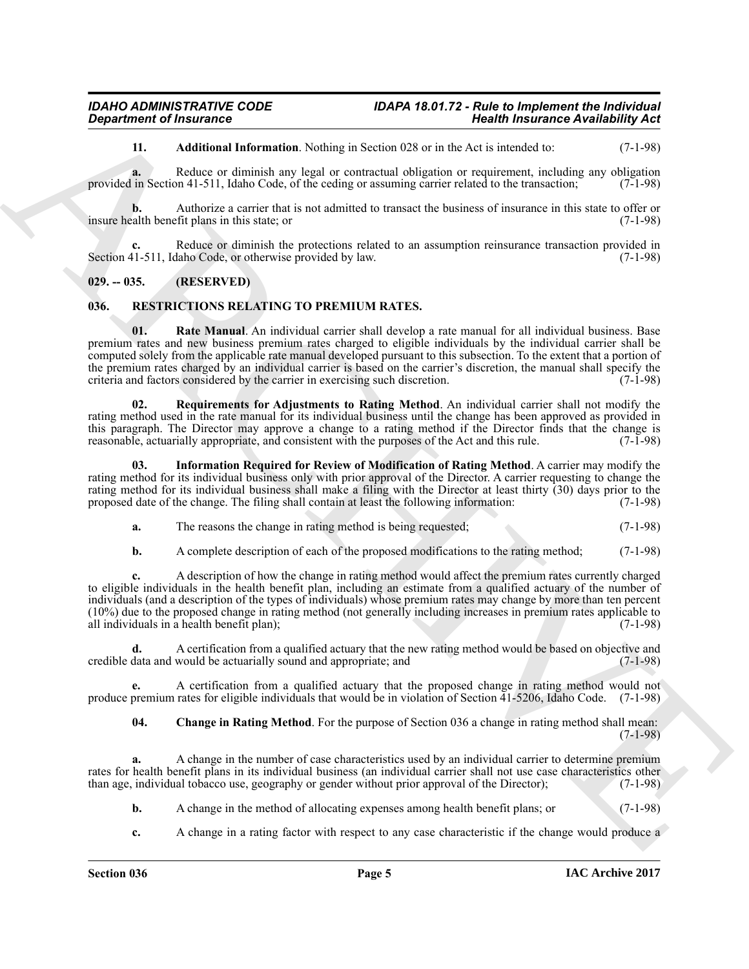<span id="page-4-7"></span>**11. Additional Information**. Nothing in Section 028 or in the Act is intended to: (7-1-98)

**a.** Reduce or diminish any legal or contractual obligation or requirement, including any obligation in Section 41-511. Idaho Code, of the ceding or assuming carrier related to the transaction: (7-1-98) provided in Section 41-511, Idaho Code, of the ceding or assuming carrier related to the transaction;

**b.** Authorize a carrier that is not admitted to transact the business of insurance in this state to offer or alth benefit plans in this state; or insure health benefit plans in this state; or

**c.** Reduce or diminish the protections related to an assumption reinsurance transaction provided in Section 41-511, Idaho Code, or otherwise provided by law. (7-1-98)

### <span id="page-4-0"></span>**029. -- 035. (RESERVED)**

#### <span id="page-4-5"></span><span id="page-4-2"></span><span id="page-4-1"></span>**036. RESTRICTIONS RELATING TO PREMIUM RATES.**

**Equation of Insurance Constraints Neumannia Neumannia Neumannia Neumannia Neumannia Neumannia Neumannia Neuman<br>
11. Additional Institution of the set of the set of the set of the set of the set of the set of the set of t 01. Rate Manual**. An individual carrier shall develop a rate manual for all individual business. Base premium rates and new business premium rates charged to eligible individuals by the individual carrier shall be computed solely from the applicable rate manual developed pursuant to this subsection. To the extent that a portion of the premium rates charged by an individual carrier is based on the carrier's discretion, the manual shall specify the criteria and factors considered by the carrier in exercising such discretion. (7-1-98) criteria and factors considered by the carrier in exercising such discretion.

<span id="page-4-6"></span>**02. Requirements for Adjustments to Rating Method**. An individual carrier shall not modify the rating method used in the rate manual for its individual business until the change has been approved as provided in this paragraph. The Director may approve a change to a rating method if the Director finds that the change is reasonable actuarially appropriate, and consistent with the purposes of the Act and this rule. (7-1-98) reasonable, actuarially appropriate, and consistent with the purposes of the Act and this rule.

**03. Information Required for Review of Modification of Rating Method**. A carrier may modify the rating method for its individual business only with prior approval of the Director. A carrier requesting to change the rating method for its individual business shall make a filing with the Director at least thirty (30) days prior to the proposed date of the change. The filing shall contain at least the following information: (7-1-98) proposed date of the change. The filing shall contain at least the following information:

<span id="page-4-4"></span>**a.** The reasons the change in rating method is being requested;  $(7-1-98)$ 

**b.** A complete description of each of the proposed modifications to the rating method; (7-1-98)

**c.** A description of how the change in rating method would affect the premium rates currently charged to eligible individuals in the health benefit plan, including an estimate from a qualified actuary of the number of individuals (and a description of the types of individuals) whose premium rates may change by more than ten percent (10%) due to the proposed change in rating method (not generally including increases in premium rates applicable to all individuals in a health benefit plan);

**d.** A certification from a qualified actuary that the new rating method would be based on objective and credible data and would be actuarially sound and appropriate; and (7-1-98)

**e.** A certification from a qualified actuary that the proposed change in rating method would not produce premium rates for eligible individuals that would be in violation of Section 41-5206, Idaho Code. (7-1-98)

<span id="page-4-3"></span>**04. Change in Rating Method**. For the purpose of Section 036 a change in rating method shall mean: (7-1-98)

**a.** A change in the number of case characteristics used by an individual carrier to determine premium rates for health benefit plans in its individual business (an individual carrier shall not use case characteristics other than age, individual tobacco use, geography or gender without prior approval of the Director); (7-1than age, individual tobacco use, geography or gender without prior approval of the Director); (7-1-98)

- **b.** A change in the method of allocating expenses among health benefit plans; or (7-1-98)
- **c.** A change in a rating factor with respect to any case characteristic if the change would produce a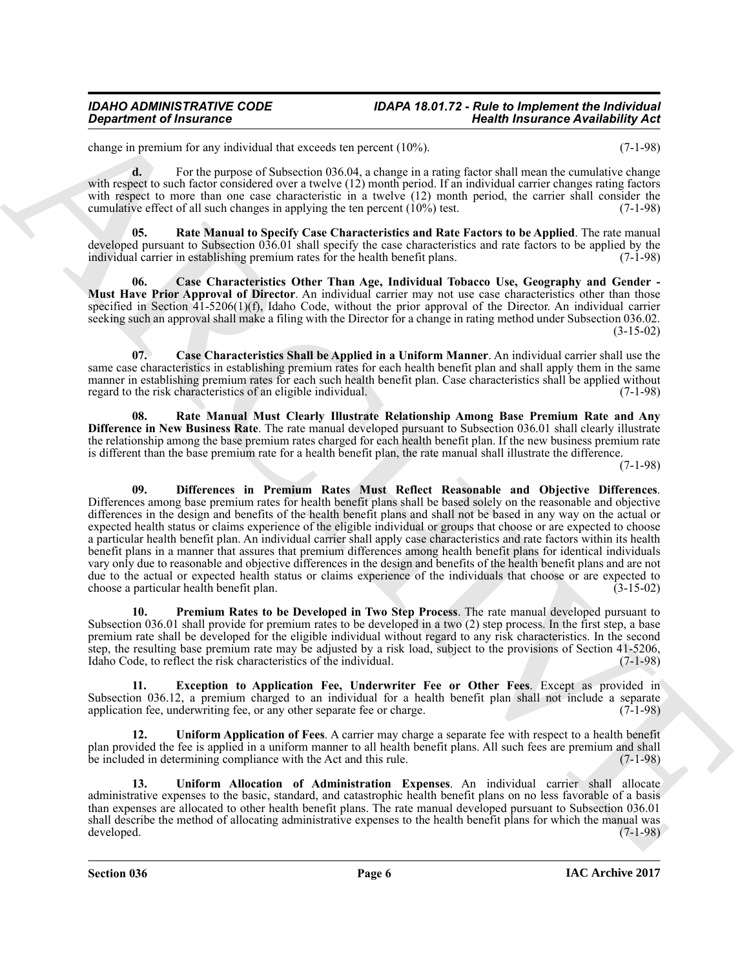change in premium for any individual that exceeds ten percent (10%). (7-1-98)

**d.** For the purpose of Subsection 036.04, a change in a rating factor shall mean the cumulative change with respect to such factor considered over a twelve (12) month period. If an individual carrier changes rating factors with respect to more than one case characteristic in a twelve (12) month period, the carrier shall consider the cumulative effect of all such changes in applying the ten percent (10%) test. (7-1-98)

<span id="page-5-6"></span>**05. Rate Manual to Specify Case Characteristics and Rate Factors to be Applied**. The rate manual developed pursuant to Subsection 036.01 shall specify the case characteristics and rate factors to be applied by the individual carrier in establishing premium rates for the health benefit plans. (7-1-98)

<span id="page-5-0"></span>**06. Case Characteristics Other Than Age, Individual Tobacco Use, Geography and Gender - Must Have Prior Approval of Director**. An individual carrier may not use case characteristics other than those specified in Section 41-5206(1)(f), Idaho Code, without the prior approval of the Director. An individual carrier seeking such an approval shall make a filing with the Director for a change in rating method under Subsection 036.02. (3-15-02)

<span id="page-5-1"></span>**07. Case Characteristics Shall be Applied in a Uniform Manner**. An individual carrier shall use the same case characteristics in establishing premium rates for each health benefit plan and shall apply them in the same manner in establishing premium rates for each such health benefit plan. Case characteristics shall be applied without regard to the risk characteristics of an eligible individual. (7-1-98) regard to the risk characteristics of an eligible individual.

<span id="page-5-5"></span><span id="page-5-2"></span>**08. Rate Manual Must Clearly Illustrate Relationship Among Base Premium Rate and Any Difference in New Business Rate**. The rate manual developed pursuant to Subsection 036.01 shall clearly illustrate the relationship among the base premium rates charged for each health benefit plan. If the new business premium rate is different than the base premium rate for a health benefit plan, the rate manual shall illustrate the difference.

(7-1-98)

*Department of Insurance*<br>
States an example in the material distinctive to provait (1995).<br>
States an example in the material distinctive to the state and provail (1995)<br>
state angular state and the material distinctiv **09. Differences in Premium Rates Must Reflect Reasonable and Objective Differences**. Differences among base premium rates for health benefit plans shall be based solely on the reasonable and objective differences in the design and benefits of the health benefit plans and shall not be based in any way on the actual or expected health status or claims experience of the eligible individual or groups that choose or are expected to choose a particular health benefit plan. An individual carrier shall apply case characteristics and rate factors within its health benefit plans in a manner that assures that premium differences among health benefit plans for identical individuals vary only due to reasonable and objective differences in the design and benefits of the health benefit plans and are not due to the actual or expected health status or claims experience of the individuals that choose or are expected to choose a particular health benefit plan. (3-15-02) choose a particular health benefit plan.

<span id="page-5-4"></span>**10. Premium Rates to be Developed in Two Step Process**. The rate manual developed pursuant to Subsection 036.01 shall provide for premium rates to be developed in a two (2) step process. In the first step, a base premium rate shall be developed for the eligible individual without regard to any risk characteristics. In the second step, the resulting base premium rate may be adjusted by a risk load, subject to the provisions of Section 41-5206, Idaho Code, to reflect the risk characteristics of the individual. (7-1-98)

<span id="page-5-3"></span>**11. Exception to Application Fee, Underwriter Fee or Other Fees**. Except as provided in Subsection 036.12, a premium charged to an individual for a health benefit plan shall not include a separate application fee, underwriting fee, or any other separate fee or charge. (7-1-98) application fee, underwriting fee, or any other separate fee or charge.

<span id="page-5-8"></span>**12. Uniform Application of Fees**. A carrier may charge a separate fee with respect to a health benefit plan provided the fee is applied in a uniform manner to all health benefit plans. All such fees are premium and shall<br>be included in determining compliance with the Act and this rule. (7-1-98) be included in determining compliance with the Act and this rule.

<span id="page-5-7"></span>**13. Uniform Allocation of Administration Expenses**. An individual carrier shall allocate administrative expenses to the basic, standard, and catastrophic health benefit plans on no less favorable of a basis than expenses are allocated to other health benefit plans. The rate manual developed pursuant to Subsection 036.01 shall describe the method of allocating administrative expenses to the health benefit plans for which the manual was developed. (7-1-98) developed. (7-1-98)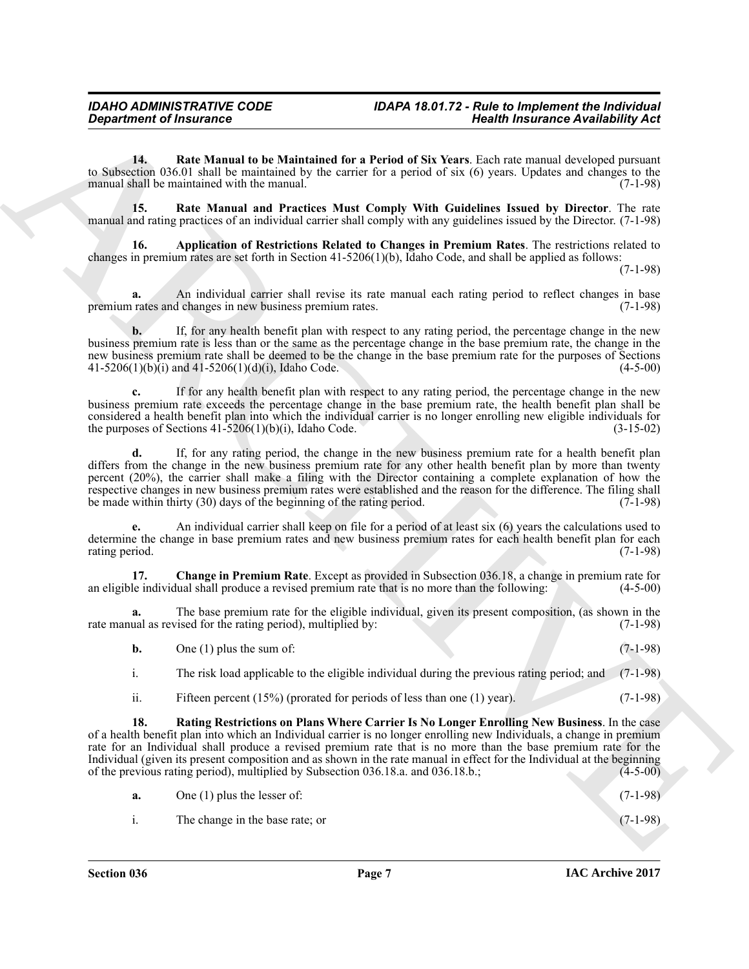<span id="page-6-3"></span>**14. Rate Manual to be Maintained for a Period of Six Years**. Each rate manual developed pursuant to Subsection 036.01 shall be maintained by the carrier for a period of six  $(6)$  years. Updates and changes to the manual shall be maintained with the manual. manual shall be maintained with the manual.

<span id="page-6-2"></span>**15. Rate Manual and Practices Must Comply With Guidelines Issued by Director**. The rate manual and rating practices of an individual carrier shall comply with any guidelines issued by the Director. (7-1-98)

<span id="page-6-0"></span>**16. Application of Restrictions Related to Changes in Premium Rates**. The restrictions related to changes in premium rates are set forth in Section 41-5206(1)(b), Idaho Code, and shall be applied as follows:

(7-1-98)

**a.** An individual carrier shall revise its rate manual each rating period to reflect changes in base rates and changes in new business premium rates. (7-1-98) premium rates and changes in new business premium rates.

**b.** If, for any health benefit plan with respect to any rating period, the percentage change in the new business premium rate is less than or the same as the percentage change in the base premium rate, the change in the new business premium rate shall be deemed to be the change in the base premium rate for the purposes of Sections  $41-5206(1)(b)(i)$  and  $41-5206(1)(d)(i)$ , Idaho Code. (4-5-00)

**c.** If for any health benefit plan with respect to any rating period, the percentage change in the new business premium rate exceeds the percentage change in the base premium rate, the health benefit plan shall be considered a health benefit plan into which the individual carrier is no longer enrolling new eligible individuals for the purposes of Sections  $41-5206(1)(b)(i)$ , Idaho Code. (3-15-02)

**Exparament of finances of Europe Architecture (Finance Constitution Constitution Constitution Constitution Constitution Constitution Constitution Constitution Constitution Constitution Constitution Constitution Constitut d.** If, for any rating period, the change in the new business premium rate for a health benefit plan differs from the change in the new business premium rate for any other health benefit plan by more than twenty percent (20%), the carrier shall make a filing with the Director containing a complete explanation of how the respective changes in new business premium rates were established and the reason for the difference. The filing shall<br>be made within thirty (30) days of the beginning of the rating period. (7-1-98) be made within thirty  $(30)$  days of the beginning of the rating period.

**e.** An individual carrier shall keep on file for a period of at least six (6) years the calculations used to determine the change in base premium rates and new business premium rates for each health benefit plan for each rating period. (7-1-98)

<span id="page-6-1"></span>**17. Change in Premium Rate**. Except as provided in Subsection 036.18, a change in premium rate for an eligible individual shall produce a revised premium rate that is no more than the following:

The base premium rate for the eligible individual, given its present composition, (as shown in the vised for the rating period), multiplied by: (7-1-98) rate manual as revised for the rating period), multiplied by:

| b. | One $(1)$ plus the sum of: |  | $(7-1-98)$ |
|----|----------------------------|--|------------|
|    |                            |  |            |

- i. The risk load applicable to the eligible individual during the previous rating period; and (7-1-98)
- <span id="page-6-4"></span>ii. Fifteen percent (15%) (prorated for periods of less than one (1) year). (7-1-98)

**18. Rating Restrictions on Plans Where Carrier Is No Longer Enrolling New Business**. In the case of a health benefit plan into which an Individual carrier is no longer enrolling new Individuals, a change in premium rate for an Individual shall produce a revised premium rate that is no more than the base premium rate for the Individual (given its present composition and as shown in the rate manual in effect for the Individual at the beginning of the previous rating period), multiplied by Subsection 036.18.a. and 036.18.b.; (4-5-00)

| а. | One $(1)$ plus the lesser of: | $(7-1-98)$ |
|----|-------------------------------|------------|
|    |                               |            |

i. The change in the base rate; or (7-1-98)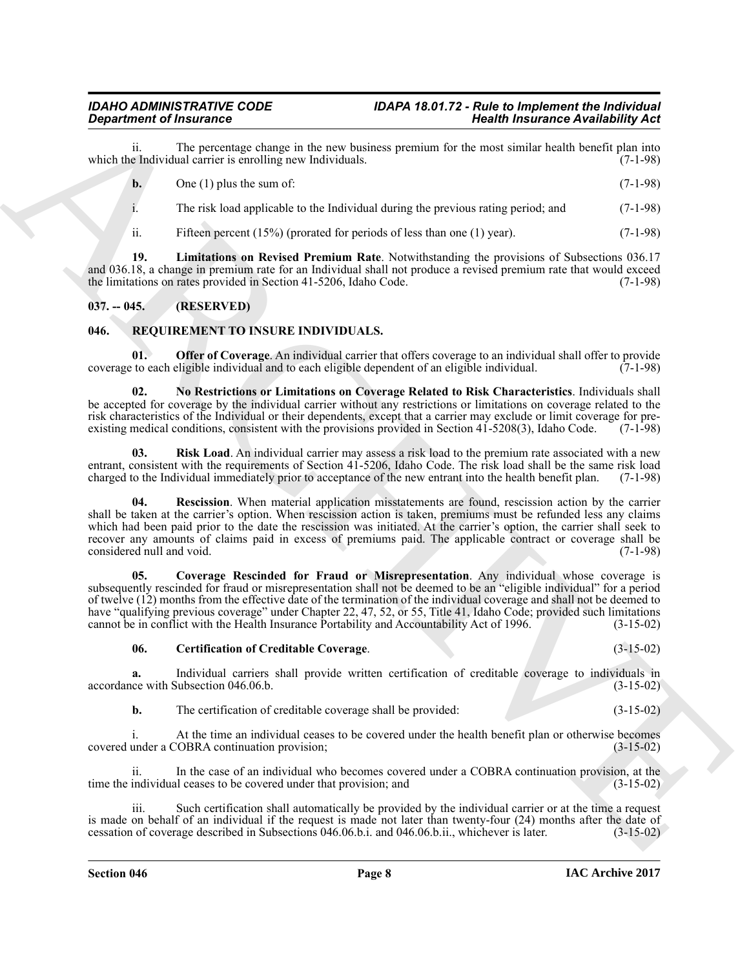ii. The percentage change in the new business premium for the most similar health benefit plan into which the Individual carrier is enrolling new Individuals.

**b.** One (1) plus the sum of:  $(7-1-98)$ 

i. The risk load applicable to the Individual during the previous rating period; and (7-1-98)

<span id="page-7-9"></span>ii. Fifteen percent (15%) (prorated for periods of less than one (1) year). (7-1-98)

**19. Limitations on Revised Premium Rate**. Notwithstanding the provisions of Subsections 036.17 and 036.18, a change in premium rate for an Individual shall not produce a revised premium rate that would exceed the limitations on rates provided in Section 41-5206, Idaho Code. (7-1-98) the limitations on rates provided in Section 41-5206, Idaho Code.

### <span id="page-7-0"></span>**037. -- 045. (RESERVED)**

### <span id="page-7-2"></span><span id="page-7-1"></span>**046. REQUIREMENT TO INSURE INDIVIDUALS.**

<span id="page-7-6"></span>**Offer of Coverage**. An individual carrier that offers coverage to an individual shall offer to provide coverage to each eligible individual and to each eligible dependent of an eligible individual. (7-1-98)

<span id="page-7-5"></span>**02. No Restrictions or Limitations on Coverage Related to Risk Characteristics**. Individuals shall be accepted for coverage by the individual carrier without any restrictions or limitations on coverage related to the risk characteristics of the Individual or their dependents, except that a carrier may exclude or limit coverage for pre-<br>existing medical conditions, consistent with the provisions provided in Section 41-5208(3), Idaho Cod existing medical conditions, consistent with the provisions provided in Section 41-5208(3), Idaho Code.

<span id="page-7-8"></span><span id="page-7-7"></span>**03. Risk Load**. An individual carrier may assess a risk load to the premium rate associated with a new entrant, consistent with the requirements of Section 41-5206, Idaho Code. The risk load shall be the same risk load charged to the Individual immediately prior to acceptance of the new entrant into the health benefit plan. (7-1-98)

**Equivariant of fractronous Company and the activities of the set and standard ARCHIVES ARCHIVES CONTINUO CONTINUO CONTINUO CONTINUO CONTINUO CONTINUO CONTINUO CONTINUO CONTINUO CONTINUO CONTINUO CONTINUO CONTINUO CONTINU Rescission**. When material application misstatements are found, rescission action by the carrier shall be taken at the carrier's option. When rescission action is taken, premiums must be refunded less any claims which had been paid prior to the date the rescission was initiated. At the carrier's option, the carrier shall seek to recover any amounts of claims paid in excess of premiums paid. The applicable contract or coverage shall be considered null and void. (7-1-98)

<span id="page-7-4"></span>**05. Coverage Rescinded for Fraud or Misrepresentation**. Any individual whose coverage is subsequently rescinded for fraud or misrepresentation shall not be deemed to be an "eligible individual" for a period of twelve (12) months from the effective date of the termination of the individual coverage and shall not be deemed to have "qualifying previous coverage" under Chapter 22, 47, 52, or 55, Title 41, Idaho Code; provided such limitations cannot be in conflict with the Health Insurance Portability and Accountability Act of 1996. (3-15-02)

#### <span id="page-7-3"></span>**06. Certification of Creditable Coverage**. (3-15-02)

**a.** Individual carriers shall provide written certification of creditable coverage to individuals in ce with Subsection 046.06.b. accordance with Subsection 046.06.b.

**b.** The certification of creditable coverage shall be provided: (3-15-02)

i. At the time an individual ceases to be covered under the health benefit plan or otherwise becomes under a COBRA continuation provision; (3-15-02) covered under a COBRA continuation provision;

In the case of an individual who becomes covered under a COBRA continuation provision, at the al ceases to be covered under that provision; and  $(3-15-02)$ time the individual ceases to be covered under that provision; and

iii. Such certification shall automatically be provided by the individual carrier or at the time a request is made on behalf of an individual if the request is made not later than twenty-four (24) months after the date of cessation of coverage described in Subsections 046.06.b.i. and 046.06.b.ii., whichever is later. (3-15-02) cessation of coverage described in Subsections 046.06.b.i. and 046.06.b.ii., whichever is later.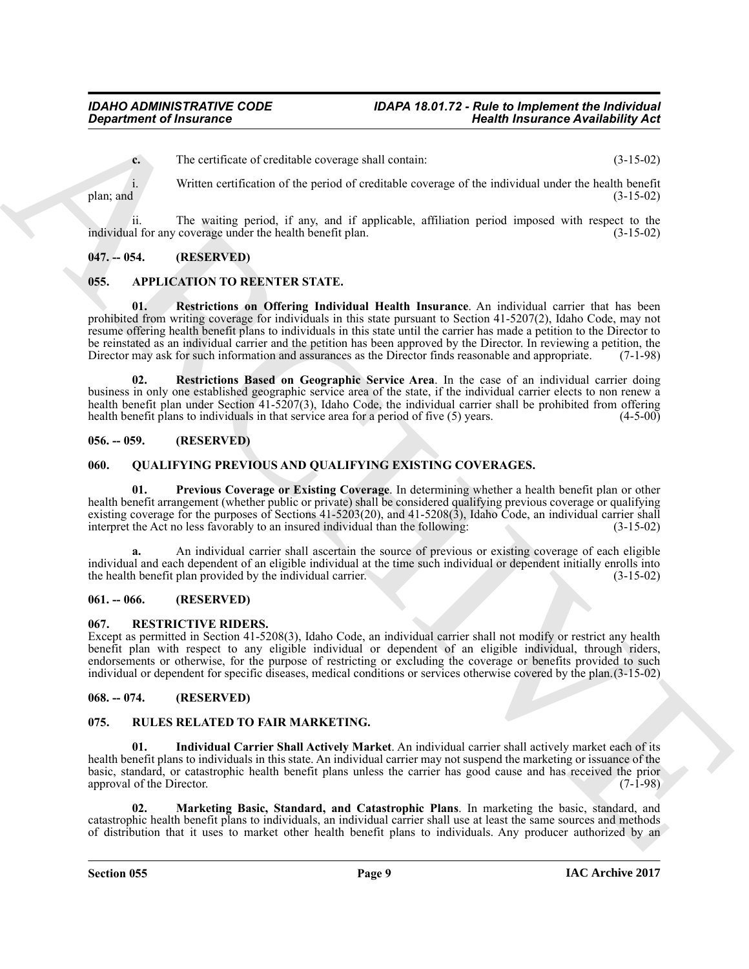**c.** The certificate of creditable coverage shall contain: (3-15-02)

i. Written certification of the period of creditable coverage of the individual under the health benefit plan; and (3-15-02) plan; and  $(3-15-02)$ 

ii. The waiting period, if any, and if applicable, affiliation period imposed with respect to the individual for any coverage under the health benefit plan. (3-15-02)

### <span id="page-8-0"></span>**047. -- 054. (RESERVED)**

### <span id="page-8-10"></span><span id="page-8-8"></span><span id="page-8-1"></span>**055. APPLICATION TO REENTER STATE.**

**Considerable of Instance Considerable Architecture is the interest of the considerable of the same of the same and the same of the same and the same and the same and the same and the same and the same and the same and th 01. Restrictions on Offering Individual Health Insurance**. An individual carrier that has been prohibited from writing coverage for individuals in this state pursuant to Section 41-5207(2), Idaho Code, may not resume offering health benefit plans to individuals in this state until the carrier has made a petition to the Director to be reinstated as an individual carrier and the petition has been approved by the Director. In reviewing a petition, the Director may ask for such information and assurances as the Director finds reasonable and appropriate. Director may ask for such information and assurances as the Director finds reasonable and appropriate.

<span id="page-8-9"></span>**02. Restrictions Based on Geographic Service Area**. In the case of an individual carrier doing business in only one established geographic service area of the state, if the individual carrier elects to non renew a health benefit plan under Section 41-5207(3), Idaho Code, the individual carrier shall be prohibited from offering health benefit plans to individuals in that service area for a period of five (5) years. (4-5-00) health benefit plans to individuals in that service area for a period of five  $(5)$  years.

### <span id="page-8-2"></span>**056. -- 059. (RESERVED)**

#### <span id="page-8-11"></span><span id="page-8-3"></span>**060. QUALIFYING PREVIOUS AND QUALIFYING EXISTING COVERAGES.**

<span id="page-8-12"></span>**01. Previous Coverage or Existing Coverage**. In determining whether a health benefit plan or other health benefit arrangement (whether public or private) shall be considered qualifying previous coverage or qualifying existing coverage for the purposes of Sections 41-5203(20), and 41-5208(3), Idaho Code, an individual carrier shall<br>interpret the Act no less favorably to an insured individual than the following:  $(3-15-02)$ interpret the Act no less favorably to an insured individual than the following:

**a.** An individual carrier shall ascertain the source of previous or existing coverage of each eligible individual and each dependent of an eligible individual at the time such individual or dependent initially enrolls into the health benefit plan provided by the individual carrier.

#### <span id="page-8-4"></span>**061. -- 066. (RESERVED)**

#### <span id="page-8-13"></span><span id="page-8-5"></span>**067. RESTRICTIVE RIDERS.**

Except as permitted in Section 41-5208(3), Idaho Code, an individual carrier shall not modify or restrict any health benefit plan with respect to any eligible individual or dependent of an eligible individual, through riders, endorsements or otherwise, for the purpose of restricting or excluding the coverage or benefits provided to such individual or dependent for specific diseases, medical conditions or services otherwise covered by the plan.(3-15-02)

### <span id="page-8-6"></span>**068. -- 074. (RESERVED)**

#### <span id="page-8-14"></span><span id="page-8-7"></span>**075. RULES RELATED TO FAIR MARKETING.**

<span id="page-8-15"></span>**01. Individual Carrier Shall Actively Market**. An individual carrier shall actively market each of its health benefit plans to individuals in this state. An individual carrier may not suspend the marketing or issuance of the basic, standard, or catastrophic health benefit plans unless the carrier has good cause and has received the prior approval of the Director.

<span id="page-8-16"></span>**02. Marketing Basic, Standard, and Catastrophic Plans**. In marketing the basic, standard, and catastrophic health benefit plans to individuals, an individual carrier shall use at least the same sources and methods of distribution that it uses to market other health benefit plans to individuals. Any producer authorized by an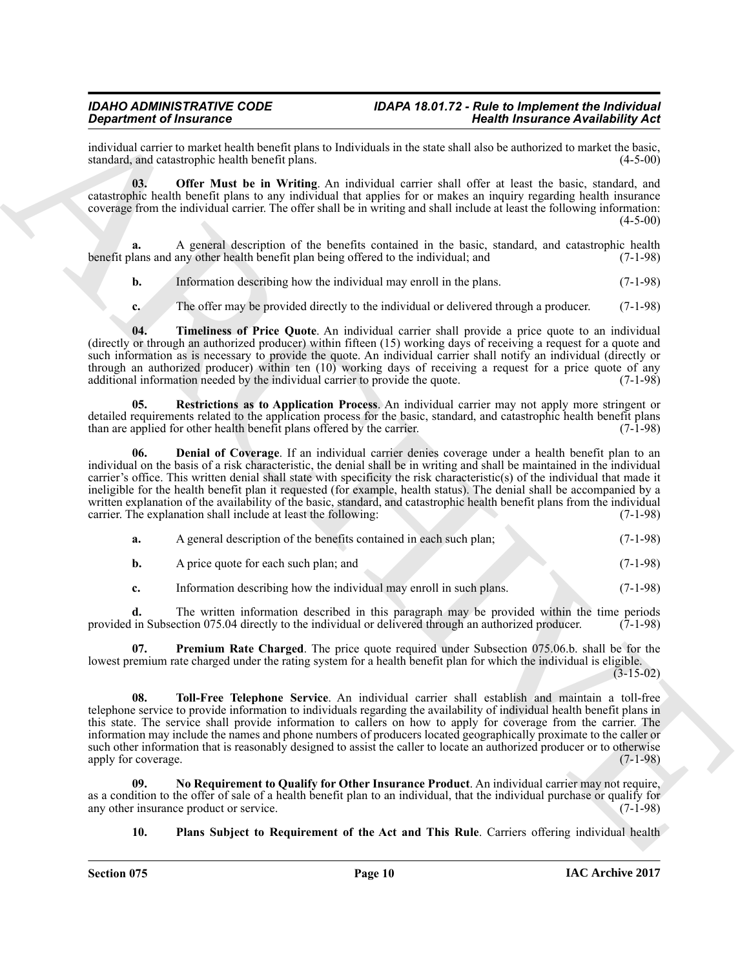individual carrier to market health benefit plans to Individuals in the state shall also be authorized to market the basic, standard, and catastrophic health benefit plans.

<span id="page-9-2"></span>**03. Offer Must be in Writing**. An individual carrier shall offer at least the basic, standard, and catastrophic health benefit plans to any individual that applies for or makes an inquiry regarding health insurance coverage from the individual carrier. The offer shall be in writing and shall include at least the following information: (4-5-00)

**a.** A general description of the benefits contained in the basic, standard, and catastrophic health benefit plans and any other health benefit plan being offered to the individual; and (7-1-98)

**b.** Information describing how the individual may enroll in the plans. (7-1-98)

<span id="page-9-6"></span>**c.** The offer may be provided directly to the individual or delivered through a producer. (7-1-98)

**04. Timeliness of Price Quote**. An individual carrier shall provide a price quote to an individual (directly or through an authorized producer) within fifteen (15) working days of receiving a request for a quote and such information as is necessary to provide the quote. An individual carrier shall notify an individual (directly or through an authorized producer) within ten  $(10)$  working days of receiving a request for a price quote of any additional information needed by the individual carrier to provide the quote.  $(7-1-98)$ additional information needed by the individual carrier to provide the quote.

<span id="page-9-5"></span><span id="page-9-0"></span>**05. Restrictions as to Application Process**. An individual carrier may not apply more stringent or detailed requirements related to the application process for the basic, standard, and catastrophic health benefit plans than are applied for other health benefit plans offered by the carrier. (7-1-98) than are applied for other health benefit plans offered by the carrier.

**Experimental control of the state of the state of the state of the state of the state of the state of the state of the state of the state of the state of the state of the state of the state of the state of the state of t 06. Denial of Coverage**. If an individual carrier denies coverage under a health benefit plan to an individual on the basis of a risk characteristic, the denial shall be in writing and shall be maintained in the individual carrier's office. This written denial shall state with specificity the risk characteristic(s) of the individual that made it ineligible for the health benefit plan it requested (for example, health status). The denial shall be accompanied by a written explanation of the availability of the basic, standard, and catastrophic health benefit plans from the individual carrier. The explanation shall include at least the following: (7-1-98)

| а. | A general description of the benefits contained in each such plan; | $(7-1-98)$ |
|----|--------------------------------------------------------------------|------------|
|    | A price quote for each such plan; and                              | $(7-1-98)$ |

<span id="page-9-4"></span>**c.** Information describing how the individual may enroll in such plans. (7-1-98)

**d.** The written information described in this paragraph may be provided within the time periods in Subsection 075.04 directly to the individual or delivered through an authorized producer. (7-1-98) provided in Subsection 075.04 directly to the individual or delivered through an authorized producer.

**07. Premium Rate Charged**. The price quote required under Subsection 075.06.b. shall be for the lowest premium rate charged under the rating system for a health benefit plan for which the individual is eligible.  $(3-15-02)$ 

<span id="page-9-7"></span>**08. Toll-Free Telephone Service**. An individual carrier shall establish and maintain a toll-free telephone service to provide information to individuals regarding the availability of individual health benefit plans in this state. The service shall provide information to callers on how to apply for coverage from the carrier. The information may include the names and phone numbers of producers located geographically proximate to the caller or such other information that is reasonably designed to assist the caller to locate an authorized producer or to otherwise<br>(7-1-98) apply for coverage.

**09. No Requirement to Qualify for Other Insurance Product**. An individual carrier may not require, as a condition to the offer of sale of a health benefit plan to an individual, that the individual purchase or qualify for any other insurance product or service. any other insurance product or service.

<span id="page-9-3"></span><span id="page-9-1"></span>**10. Plans Subject to Requirement of the Act and This Rule**. Carriers offering individual health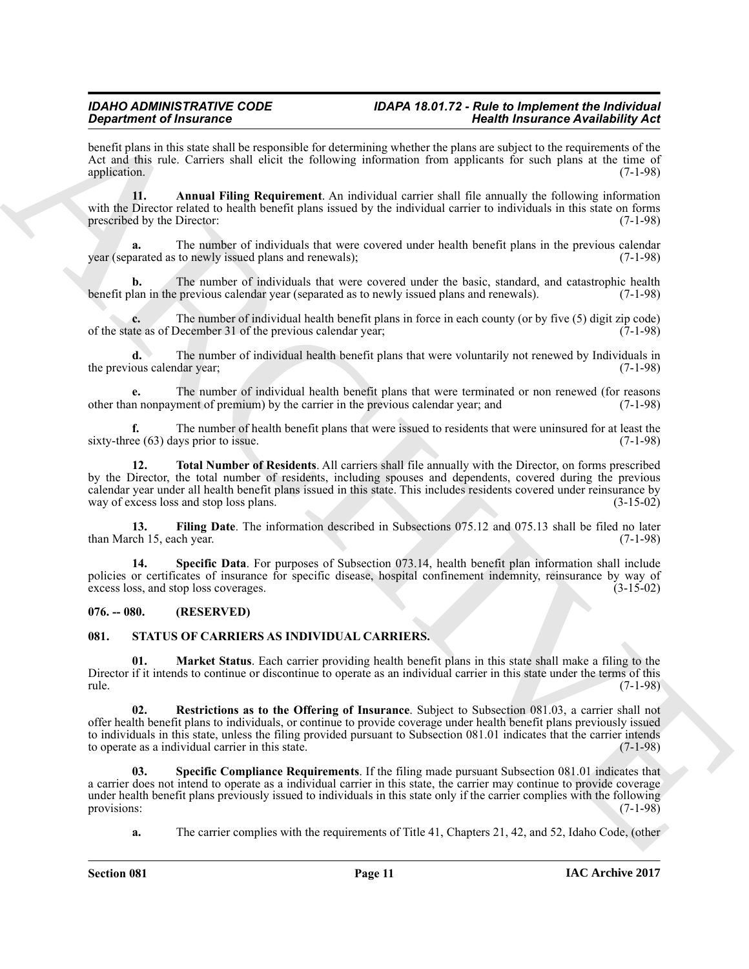benefit plans in this state shall be responsible for determining whether the plans are subject to the requirements of the Act and this rule. Carriers shall elicit the following information from applicants for such plans at the time of application. (7-1-98) application. (7-1-98)

<span id="page-10-2"></span>**11. Annual Filing Requirement**. An individual carrier shall file annually the following information with the Director related to health benefit plans issued by the individual carrier to individuals in this state on forms prescribed by the Director: (7-1-98) prescribed by the Director:

**a.** The number of individuals that were covered under health benefit plans in the previous calendar year (separated as to newly issued plans and renewals); (7-1-98)

**b.** The number of individuals that were covered under the basic, standard, and catastrophic health lan in the previous calendar year (separated as to newly issued plans and renewals). (7-1-98) benefit plan in the previous calendar year (separated as to newly issued plans and renewals).

**c.** The number of individual health benefit plans in force in each county (or by five (5) digit zip code) the as of December 31 of the previous calendar year; (7-1-98) of the state as of December 31 of the previous calendar year;

**d.** The number of individual health benefit plans that were voluntarily not renewed by Individuals in the previous calendar year; (7-1-98)

**e.** The number of individual health benefit plans that were terminated or non renewed (for reasons n nonpayment of premium) by the carrier in the previous calendar year: and (7-1-98) other than nonpayment of premium) by the carrier in the previous calendar year; and

<span id="page-10-5"></span>**f.** The number of health benefit plans that were issued to residents that were uninsured for at least the sixty-three (63) days prior to issue. (7-1-98)

**Signalizion** of Internation Control is the baseline of Holiday Association Control in the state of the state of the state of the state of the state of the state of the state of the state of the state of the state of the **12. Total Number of Residents**. All carriers shall file annually with the Director, on forms prescribed by the Director, the total number of residents, including spouses and dependents, covered during the previous calendar year under all health benefit plans issued in this state. This includes residents covered under reinsurance by way of excess loss and stop loss plans.

<span id="page-10-3"></span>**13. Filing Date**. The information described in Subsections 075.12 and 075.13 shall be filed no later ch 15, each year. (7-1-98) than March 15, each year.

<span id="page-10-4"></span>**14. Specific Data**. For purposes of Subsection 073.14, health benefit plan information shall include policies or certificates of insurance for specific disease, hospital confinement indemnity, reinsurance by way of excess loss, and stop loss coverages. (3-15-02) excess loss, and stop loss coverages.

### <span id="page-10-0"></span>**076. -- 080. (RESERVED)**

#### <span id="page-10-6"></span><span id="page-10-1"></span>**081. STATUS OF CARRIERS AS INDIVIDUAL CARRIERS.**

<span id="page-10-7"></span>**01. Market Status**. Each carrier providing health benefit plans in this state shall make a filing to the Director if it intends to continue or discontinue to operate as an individual carrier in this state under the terms of this rule. (7-1-98) rule. (7-1-98)

<span id="page-10-8"></span>**02. Restrictions as to the Offering of Insurance**. Subject to Subsection 081.03, a carrier shall not offer health benefit plans to individuals, or continue to provide coverage under health benefit plans previously issued to individuals in this state, unless the filing provided pursuant to Subsection 081.01 indicates that the carrier intends to operate as a individual carrier in this state. to operate as a individual carrier in this state.

**03. Specific Compliance Requirements**. If the filing made pursuant Subsection 081.01 indicates that a carrier does not intend to operate as a individual carrier in this state, the carrier may continue to provide coverage under health benefit plans previously issued to individuals in this state only if the carrier complies with the following provisions: (7-1-98) provisions: (7-1-98)

<span id="page-10-9"></span>**a.** The carrier complies with the requirements of Title 41, Chapters 21, 42, and 52, Idaho Code, (other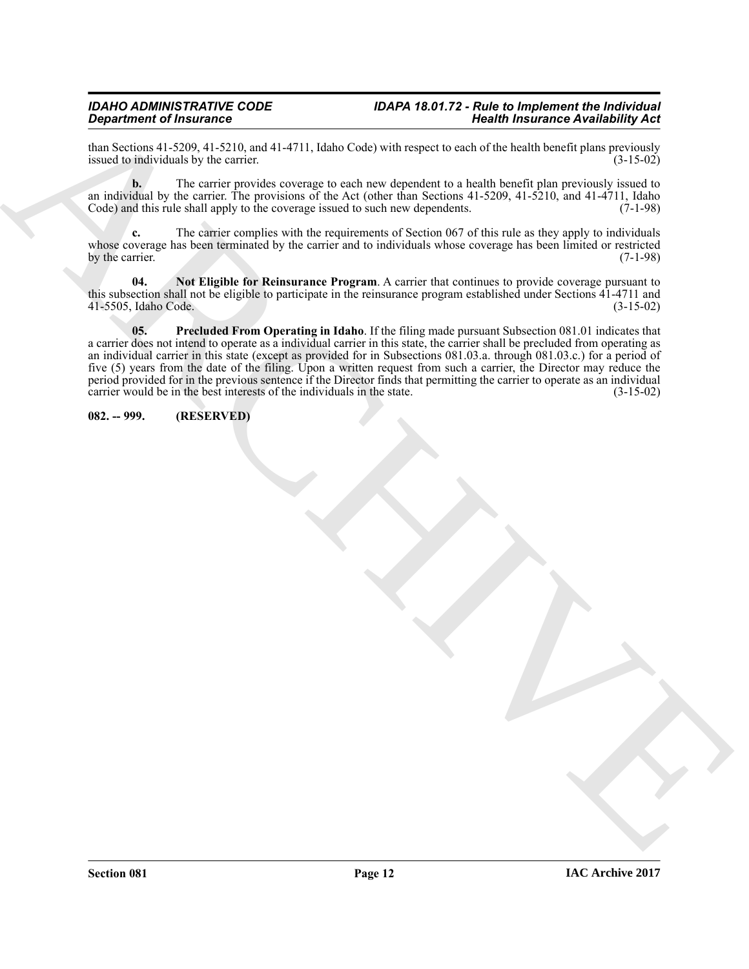than Sections 41-5209, 41-5210, and 41-4711, Idaho Code) with respect to each of the health benefit plans previously<br>(3-15-02) issued to individuals by the carrier. issued to individuals by the carrier.

**b.** The carrier provides coverage to each new dependent to a health benefit plan previously issued to an individual by the carrier. The provisions of the Act (other than Sections  $41-5209$ ,  $41-5210$ , and  $41-4711$ , Idaho Code) and this rule shall apply to the coverage issued to such new dependents. (7-1-98) Code) and this rule shall apply to the coverage issued to such new dependents.

**c.** The carrier complies with the requirements of Section 067 of this rule as they apply to individuals whose coverage has been terminated by the carrier and to individuals whose coverage has been limited or restricted by the carrier.  $(7-1-98)$ 

<span id="page-11-2"></span><span id="page-11-1"></span>**04. Not Eligible for Reinsurance Program**. A carrier that continues to provide coverage pursuant to this subsection shall not be eligible to participate in the reinsurance program established under Sections 41-4711 and 41-5505, Idaho Code. (3-15-02) 41-5505, Idaho Code.

**Experiment of Francesco Control 11.1**<br>
Analysis and the state of the state of the state of the state of the state of the state of the state of the state of the state of the state of the state of the state of the state of **05. Precluded From Operating in Idaho**. If the filing made pursuant Subsection 081.01 indicates that a carrier does not intend to operate as a individual carrier in this state, the carrier shall be precluded from operating as an individual carrier in this state (except as provided for in Subsections 081.03.a. through 081.03.c.) for a period of five (5) years from the date of the filing. Upon a written request from such a carrier, the Director may reduce the period provided for in the previous sentence if the Director finds that permitting the carrier to operate as an individual carrier would be in the best interests of the individuals in the state. (3-15-02)

#### <span id="page-11-0"></span>**082. -- 999. (RESERVED)**